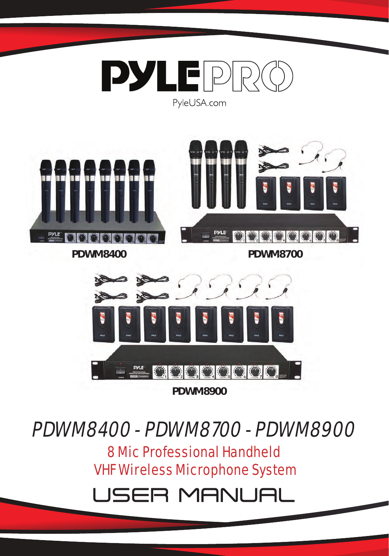

**PDWM8400 PDWM8700**



PDWM8400 - PDWM8700 - PDWM8900

8 Mic Professional Handheld VHF Wireless Microphone System

USER MANUAl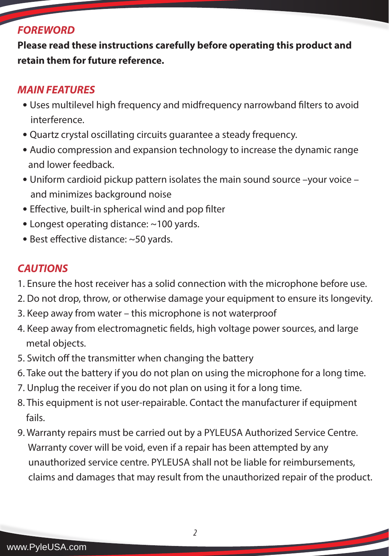### *FOREWORD*

**Please read these instructions carefully before operating this product and retain them for future reference.**

### *MAIN FEATURES*

- Uses multilevel high frequency and midfrequency narrowband filters to avoid interference.
- Quartz crystal oscillating circuits guarantee a steady frequency.
- Audio compression and expansion technology to increase the dynamic range and lower feedback.
- Uniform cardioid pickup pattern isolates the main sound source –your voice and minimizes background noise
- Effective, built-in spherical wind and pop filter
- Longest operating distance: ~100 yards.
- Best effective distance: ~50 yards.

# *CAUTIONS*

- 1. Ensure the host receiver has a solid connection with the microphone before use.
- 2. Do not drop, throw, or otherwise damage your equipment to ensure its longevity.
- 3. Keep away from water this microphone is not waterproof
- 4. Keep away from electromagnetic fields, high voltage power sources, and large metal objects.
- 5. Switch off the transmitter when changing the battery
- 6. Take out the battery if you do not plan on using the microphone for a long time.
- 7. Unplug the receiver if you do not plan on using it for a long time.
- 8. This equipment is not user-repairable. Contact the manufacturer if equipment fails.
- 9. Warranty repairs must be carried out by a PYLEUSA Authorized Service Centre. Warranty cover will be void, even if a repair has been attempted by any unauthorized service centre. PYLEUSA shall not be liable for reimbursements, claims and damages that may result from the unauthorized repair of the product.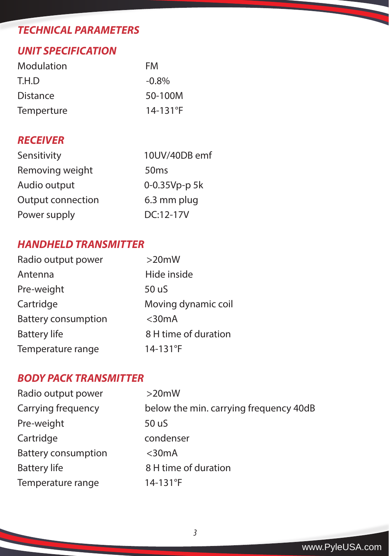### *UNIT SPECIFICATION*

| Modulation | FM            |
|------------|---------------|
| T.H.D      | $-0.8\%$      |
| Distance   | 50-100M       |
| Temperture | $14 - 131$ °F |

## *RECEIVER*

| Sensitivity       | 10UV/40DB emf    |
|-------------------|------------------|
| Removing weight   | 50 <sub>ms</sub> |
| Audio output      | 0-0.35Vp-p 5k    |
| Output connection | 6.3 mm plug      |
| Power supply      | $DC:12-17V$      |

### *HANDHELD TRANSMITTER*

| Radio output power         | $>20$ mW             |
|----------------------------|----------------------|
| Antenna                    | Hide inside          |
| Pre-weight                 | 50 uS                |
| Cartridge                  | Moving dynamic coil  |
| <b>Battery consumption</b> | $<$ 30 $mA$          |
| <b>Battery life</b>        | 8 H time of duration |
| Temperature range          | 14-131°F             |

### *BODY PACK TRANSMITTER*

| Radio output power         | >20mW                                  |
|----------------------------|----------------------------------------|
| Carrying frequency         | below the min. carrying frequency 40dB |
| Pre-weight                 | 50 uS                                  |
| Cartridge                  | condenser                              |
| <b>Battery consumption</b> | $<$ 30 $mA$                            |
| <b>Battery life</b>        | 8 H time of duration                   |
| Temperature range          | $14 - 131$ °F                          |

<u> Listen de la contrata de la contrata de la contrata de la contrata de la contrata de la contrata de la contrata de la contrata de la contrata de la contrata de la contrata de la contrata de la contrata de la contrata de </u>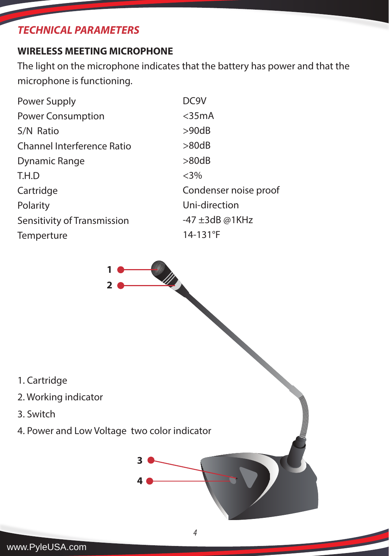### **WIRELESS MEETING MICROPHONE**

The light on the microphone indicates that the battery has power and that the microphone is functioning.

| Power Supply                | DC9V                  |
|-----------------------------|-----------------------|
| <b>Power Consumption</b>    | $<$ 35mA              |
| S/N Ratio                   | >90dB                 |
| Channel Interference Ratio  | >80dB                 |
| Dynamic Range               | >80dB                 |
| T.H.D                       | $<3\%$                |
| Cartridge                   | Condenser noise proof |
| Polarity                    | Uni-direction         |
| Sensitivity of Transmission | $-47 \pm 3$ dB @1KHz  |
| Temperture                  | $14 - 131$ °F         |
|                             |                       |



www.PyleUSA.com

3. Switch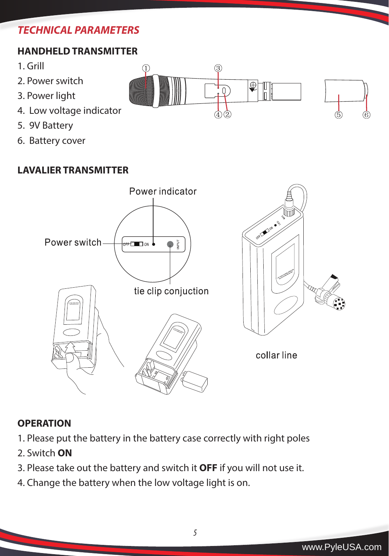## **HANDHELD TRANSMITTER**

(1)

3

- 1. Grill
- 2. Power switch
- 3. Power light
- 4. Low voltage indicator
- 5. 9V Battery
- 6. Battery cover

### **LAVALIER TRANSMITTER**



### **OPERATION**

- 1. Please put the battery in the battery case correctly with right poles
- 2. Switch **ON**
- 3. Please take out the battery and switch it **OFF** if you will not use it.
- 4. Change the battery when the low voltage light is on.

*5*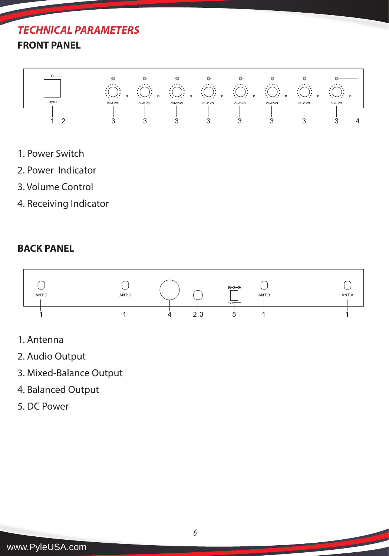# **FRONT PANEL**



- 1. Power Switch
- 2. Power Indicator
- 3. Volume Control
- 4. Receiving Indicator

#### **BACK PANEL**



- 1. Antenna
- 2. Audio Output
- 3. Mixed-Balance Output
- 4. Balanced Output
- 5. DC Power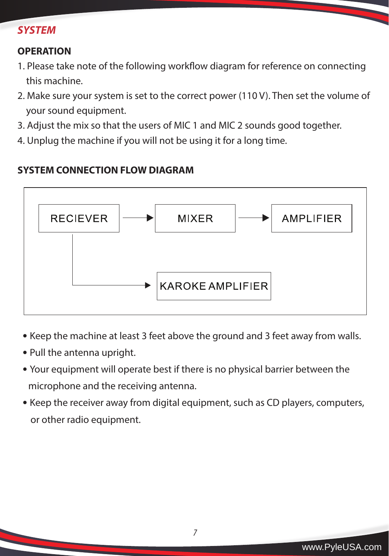#### *SYSTEM*

#### **OPERATION**

- 1. Please take note of the following workflow diagram for reference on connecting this machine.
- 2. Make sure your system is set to the correct power (110 V). Then set the volume of your sound equipment.
- 3. Adjust the mix so that the users of MIC 1 and MIC 2 sounds good together.
- 4. Unplug the machine if you will not be using it for a long time.

### **SYSTEM CONNECTION FLOW DIAGRAM**



- Keep the machine at least 3 feet above the ground and 3 feet away from walls.
- Pull the antenna upright.
- Your equipment will operate best if there is no physical barrier between the microphone and the receiving antenna.
- Keep the receiver away from digital equipment, such as CD players, computers, or other radio equipment.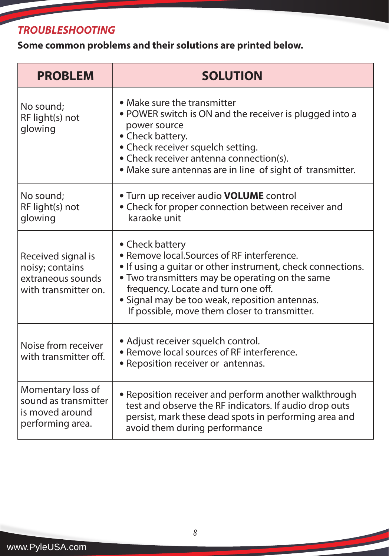# *TROUBLESHOOTING*

**Some common problems and their solutions are printed below.**

| <b>PROBLEM</b>                                                                     | <b>SOLUTION</b>                                                                                                                                                                                                                                                                                                            |
|------------------------------------------------------------------------------------|----------------------------------------------------------------------------------------------------------------------------------------------------------------------------------------------------------------------------------------------------------------------------------------------------------------------------|
| No sound;<br>RF light(s) not<br>glowing                                            | • Make sure the transmitter<br>• POWER switch is ON and the receiver is plugged into a<br>power source<br>• Check battery.<br>• Check receiver squelch setting.<br>• Check receiver antenna connection(s).<br>• Make sure antennas are in line of sight of transmitter.                                                    |
| No sound;<br>RF light(s) not<br>glowing                                            | . Turn up receiver audio VOLUME control<br>• Check for proper connection between receiver and<br>karaoke unit                                                                                                                                                                                                              |
| Received signal is<br>noisy; contains<br>extraneous sounds<br>with transmitter on. | • Check battery<br>• Remove local. Sources of RF interference.<br>• If using a quitar or other instrument, check connections.<br>. Two transmitters may be operating on the same<br>frequency. Locate and turn one off.<br>• Signal may be too weak, reposition antennas.<br>If possible, move them closer to transmitter. |
| Noise from receiver<br>with transmitter off.                                       | · Adjust receiver squelch control.<br>• Remove local sources of RF interference.<br>• Reposition receiver or antennas.                                                                                                                                                                                                     |
| Momentary loss of<br>sound as transmitter<br>is moved around<br>performing area.   | • Reposition receiver and perform another walkthrough<br>test and observe the RF indicators. If audio drop outs<br>persist, mark these dead spots in performing area and<br>avoid them during performance                                                                                                                  |